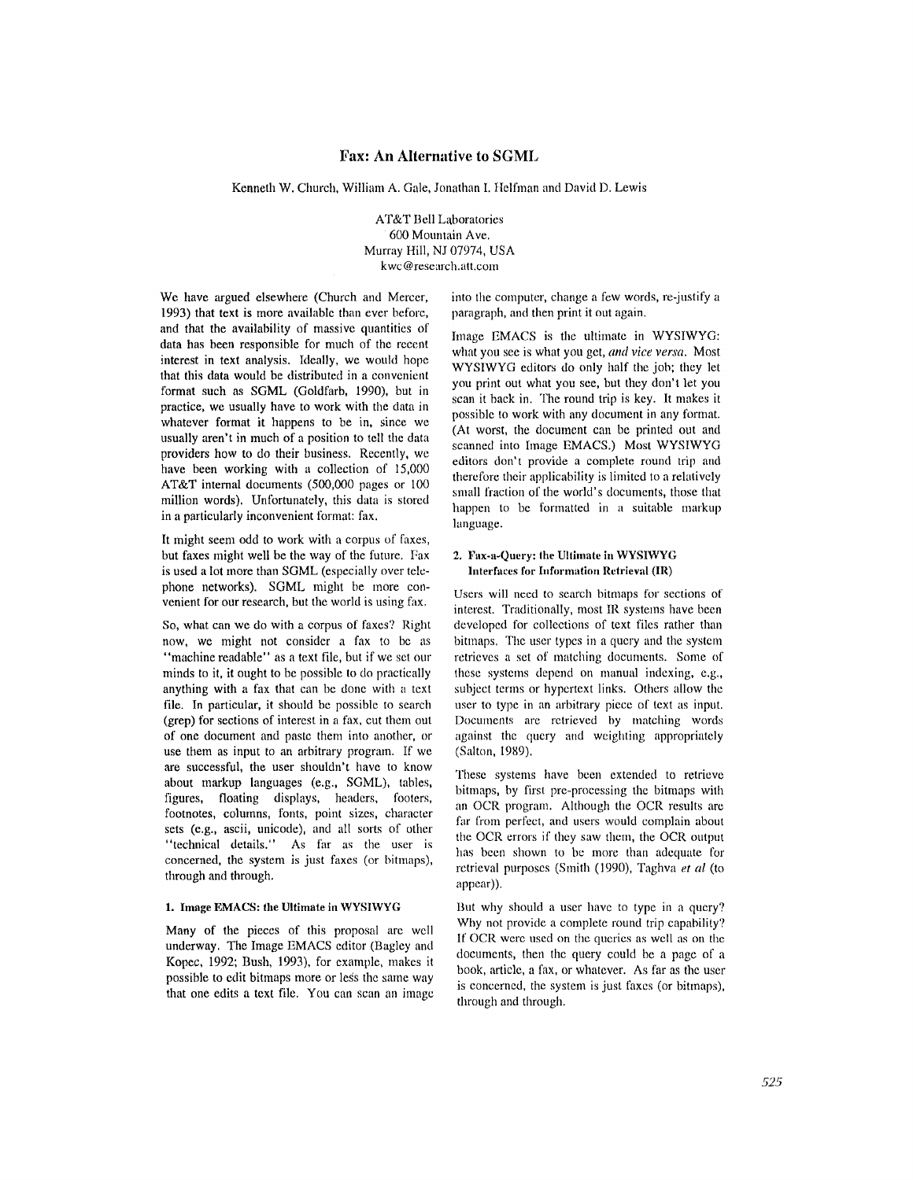# **Fax: An Alternative to SGML**

Kenneth W. Church, William A. Gale, Jonathan I. Helfman and David D. Lewis

AT&T Bell Laboratories 600 Mountain Ave. Murray Hill, NJ 07974, USA kwc@research.att.com

We have argued elsewhere (Church and Mercer, 1993) that text is more available than ever before, and that the availability of massive quantities of data has been responsible for much of the recent interest in text analysis. Ideally, we would hope that this data would be distributed in a convenient format such as SGML (Goldfarb, 1990), but in practice, we usually have to work with the data in whatever format it happens to be in, since we usually aren't in much of a position to tell the data providers how to do their business. Recently, we have been working with a collection of 15,000 AT&T internal documents (500,000 pages or 100 million words). Unfortunately, this data is stored in a particularly inconvenient format: fax.

It might seem odd to work with a corpus of faxes, but faxes might well be the way of the future. Fax is used a lot more than SGML (especially over telephone networks). SGML might be more convenient for our research, but the world is using fax.

So, what can we do with a corpus of faxes? Right now, we might not consider a fax to be as "machine readable" as a text file, but if we set our minds to it, it ought to be possible to do practically anything with a fax that can be done with a text file. In particular, it should be possible to search (grep) for sections of interest in a fax, cut them out of one document and paste them into another, or use them as input to an arbitrary program. If we are successful, the user shouldn't have to know about markup languages (e.g., SGML), tables, figures, floating displays, headers, footers, footnotes, columns, fonts, point sizes, character sets (e.g., ascii, unicode), and all sorts of other "technical details." As far as the user is concerned, the system is just faxes (or bitmaps), through and through.

#### **1. Image EMACS: the Ultimate in WYS1WYG**

Many of the pieces of this proposal are well underway. The Image EMACS editor (Bagley and Kopec, 1992; Bush, 1993), for example, makes it possible to edit bitmaps more or less the same way that one edits a text file. You can scan an image into the computer, change a few words, re-justify a paragraph, and then print it out again.

Image EMACS is the ultimate in WYSIWYG: what you see is what you get, *and vice versa.* Most WYSIWYG editors do only half the job; they let you print out what you see, but they don't let you scan it back in. The round trip is key. It makes it possible to work with any document in any format. (At worst, the document can be printed out and scanned into Image EMACS.) Most WYSIWYG editors don't provide a complete round trip and therefore their applicability is limited to a relatively small fraction of the world's documents, those that happen to be formatted in a suitable markup language.

## **2. Fax-a-Query: the Ultimate in WYSIWYG Interfaces for Information Retrieval (IR)**

Users will need to search bitmaps for sections of interest. Traditionally, most IR systems have been developed for collections of text files rather than bitmaps. The user types in a query and the system retrieves a set of matching documents. Some ot' these systems depend on manual indexing, e.g., subject terms or hypertext links. Others allow the user to type in an arbitrary piece of text as input. Documents are retrieved by matching words against the query and weighting appropriately (Salton, 1989).

These systems have been extended to retrieve bitnmps, by first pre-processing the bitmaps with an OCR program. Although the OCR results arc far from perfect, and users would complain about the OCR errors if they saw them, the OCR output has been shown to be more than adequate for retrieval purposes (Smith (1990), Taghva *et al* (to appear)).

But why should a user have to type in a query? Why not provide a complete round trip capability? If OCR were used on the queries as well as on the documents, then the query could be a page of a book, article, a fax, or whatever. As far as the user is concerned, the system is just faxes (or bitmaps), through and through.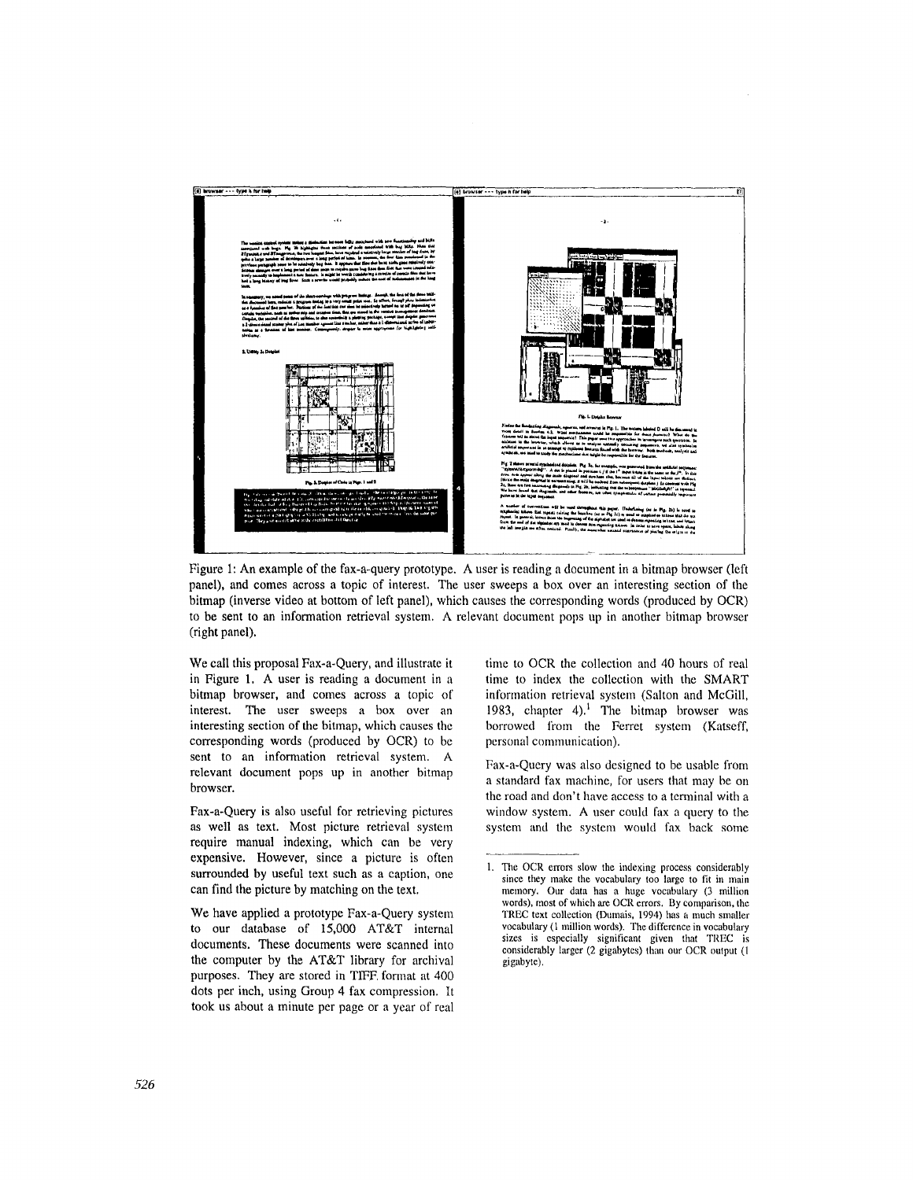

Figure 1: An example of the fax-a-query prototype. A user is reading a document in a bitmap browser (left panel), and comes across a topic of interest. The user sweeps a box over an interesting section of the bitmap (inverse video at bottom of left panel), which causes the corresponding words (produced by OCR) to be sent to an information retrieval system. A relevant document pops up in another bitmap browser (right panel).

We call this proposal Fax-a-Query, and illustrate it in Figure 1. A user is reading a document in a bitmap browser, and comes across a topic of interest. The user sweeps a box over an interesting section of the bitmap, which causes the corresponding words (produced by OCR) to be sent to an information retrieval system. A relevant document pops up in another bitmap browser.

Fax-a-Query is also useful for retrieving pictures as well as text. Most picture retrieval system require manual indexing, which can be very expensive. However, since a picture is often surrounded by useful text such as a caption, one can find the picture by matching on the text.

We have applied a prototype Fax-a-Query system to our database of 15,000 AT&T internal documents. These documents were scanned into the computer by the AT&T library for archival purposes. They are stored in TIFF, format at 400 dots per inch, using Group 4 fax compression. It took us about a minute per page or a year of real time to OCR the collection and 40 hours of real time to index the collcction with the SMART information retrieval system (Salton and McGill, 1983, chapter  $4$ ).<sup>1</sup> The bitmap browser was borrowed from the Ferret system (Katseff, personal communication).

Fax-a-Query was also designed to be usable from a standard fax machine, for users that may be on the road and don't have access to a terminal with a window system. A user could fax a query to the system and the system would fax back some

<sup>1.</sup> The OCR errors slow the indexing process considerably since they make the vocabulary too large to fit in main memory. Our data has a huge vocabulary (3 million words), most of which are OCR errors. By comparison, the TREC text collection (Dumais, 1994) has a much smaller vocabulary (1 million words). The difference in vocabulary sizes is especially significant given that TREC is considerably larger (2 gigabytes) than our OCR output (1 gigabyte).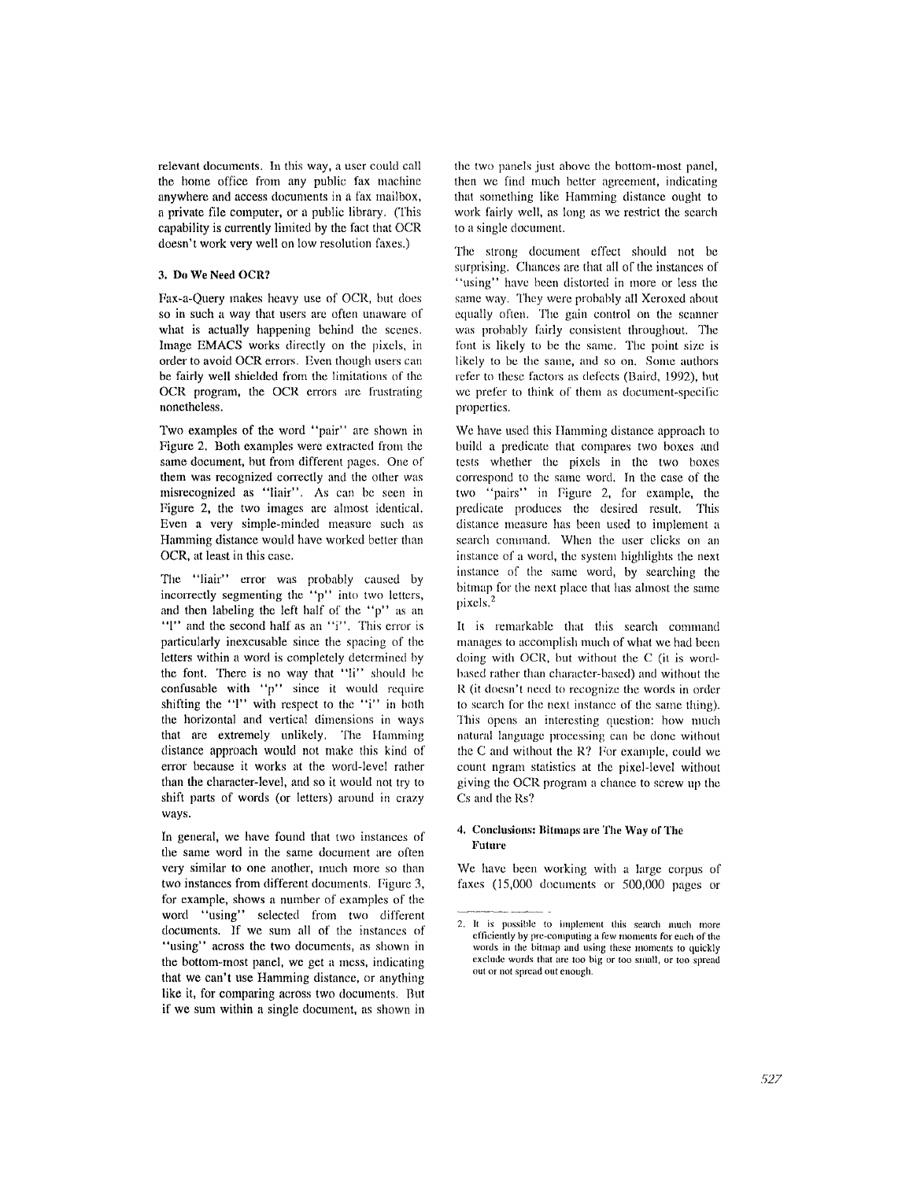relevant documents. In this way, a user could call the borne office from any public fax machine anywhere and access documents in a fax mailbox, a private file computer, or a public library. (This capability is currently limited by the fact that OCR doesn't work very well on low resolution faxes.)

### **3. Do We Need OCR?**

Fax-a-Query makes heavy use of OCR, hut does so in such a way that users are often unaware of what is actually happening behind the scenes. Image EMACS works directly on the pixels, in order to avoid OCR errors. Even though users can be fairly well shielded from the limitations of the OCR program, the OCR errors are fiustrating nonetheless.

Two examples of the word "pair" are shown in Figure 2. Both examples were extracted from the same document, but from different pages. One of them was recognized correctly and the other was misrecognized as "liair". As can be seen in Figure 2, the two images are ahnost identical. Even a very simple-minded measure such as Hamming distance would have worked better than OCR, at least in this case.

The "liair" error was probably caused by incorrectly segmenting the "p" into two letters, and then labeling the left half of the " $p$ " as an 'T' and the second half as an 'T'. This error is particularly inexcusable since the spacing of the letters within a word is completely determined by **the** font. There is no way that "li" should he confusable with "p" since it would require shifting the " $1$ " with respect to the "i" in both the horizontal and vertical dimensions in ways that are extremely unlikely. The Hamming distance approach would not make this kind of error because it works at the word-level rather **than the** character-level, and so it would not try to shift parts of words (or letters) around in crazy ways.

In general, we have found that two instances of the same word in the same document are often very similar to one another, much more so than two instances from different documents. Figure 3, for example, shows a number of examples of the word "using" selected from two different documents. If we sum all of the instances of "using" across the two documents, as shown in **the** bottom-most panel, we get a mess, indicating that we can't use Hamming distance, or anything like it, for comparing across two documents. But if we sum within a single document, as shown in the two panels just above the bottom-most panel, then we find nmch better agreement, indicating that something like Hamming distance ought to work fairly well, as long as we restrict the search to a single doenment.

The strong document effect should not be surprising. Chances are that all of the instances of "using" have been distorted in more or less the same way. They were probably all Xeroxed about equally often. The gain control on the scanner was probably fairly consistent throughout. The font is likely to be the same. The point size is likely to be the same, and so on. Some authors refer to these factors as defects (Baird, 1992), but we prefer to think of them as document-specific properties.

We have used this Ilamming distance approach to build a predicate that compares two boxes and tests whether the pixcls in the two boxes correspond to the same word. In the case of the two "pairs" in Figure 2, for example, the predicate produces the desired result. This distance measure has been used to implement a search command. When the user clicks on an instance of a word, the system highlights the next instance of the same word, by searching the bitmap for the next place that has almost the same pixels. 2

It is remarkable that this search command manages to accomplish much of what we had been doing with OCR, but without the C (it is wordbased rather than character-based) and without the R (it doesn't need to recognize the words in order to search for the next instance of the same thing). This opens an interesting question: how much natural language processing can be done without the C and without the R? For example, could we count ngram statistics at the pixel-level without giving the OCR program a chance to screw up the Cs and the Rs?

## 4. Conclusions: Bitmaps are The Way of The Future

We have been working with a large corpus of faxes (15,000 documents or 500,000 pages or

<sup>2.</sup> It is possible to implement this search much more efficiently by pre-computing a few moments for each of the words in the bitmap and using these moments to quickly exclude words that are too big or too small, or too spread out or not spread out enough.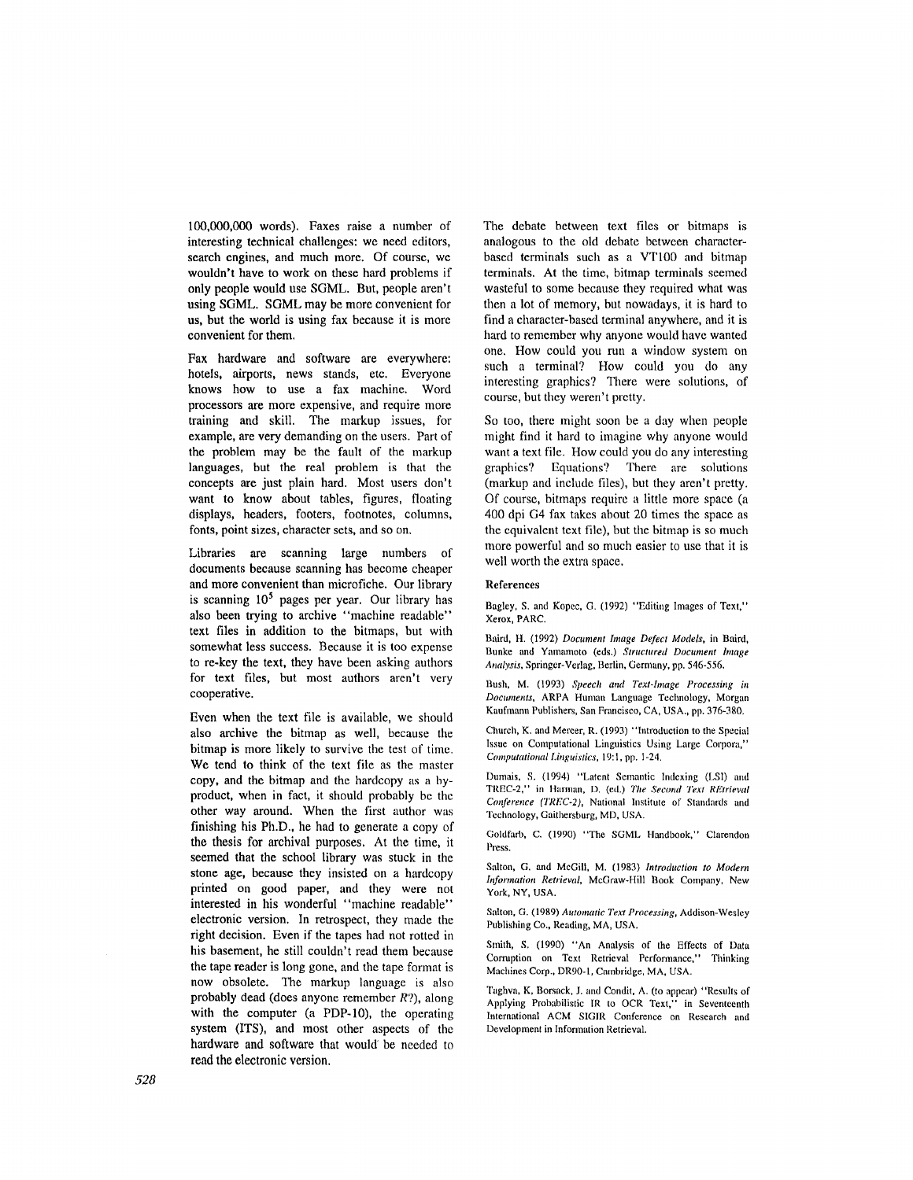100,000,000 words). Faxes raise a number of interesting technical challenges: we need editors, search engines, and much more. Of course, we wouldn't have to work on these hard problems if only people would use SGML. But, people aren't using SGML. SGML may be more convenient for us, but the world is using fax because it is more convenient for them.

Fax hardware and software are everywhere: hotels, airports, news stands, etc. Everyone knows how to use a fax machine. Word processors are more expensive, and require more training and skill. The markup issues, for example, are very demanding on the users. Part of the problem may be the fault of the markup languages, but the real problem is that the concepts are just plain hard. Most users don't want to know about tables, figures, floating displays, headers, footers, footnotes, columns, fonts, point sizes, character sets, and so on,

Libraries are scanning large numbers of documents because scanning has become cheaper and more convenient than microfiche. Our library is scanning  $10<sup>5</sup>$  pages per year. Our library has also been trying to archive "machine readable" text files in addition to the bitmaps, but with somewhat less success. Because it is too expense to re-key the text, they have been asking authors for text files, but most authors aren't very cooperative.

Even when the text file is available, we should also archive the bitmap as well, because the bitmap is more likely to survive the test of time. We tend to think of the text file as the master copy, and the bitmap and the hardcopy as a byproduct, when in fact, it should probably be the other way around. When the first author was finishing his Ph.D., he had to generate a copy of the thesis for archival purposes. At the time, it seemed that the school library was stuck in the stone age, because they insisted on a hardcopy printed on good paper, and they were not interested in his wonderful "machine readable" electronic version. In retrospect, they made the right decision. Even if the tapes had not rotted in his basement, he still couldn't read them because the tape reader is long gone, and the tape format is now obsolete. The markup language is also probably dead (does anyone remember R?), along with the computer (a PDP-10), the operating system (ITS), and most other aspects of the hardware and software that would be needed to read the electronic version.

The debate between text files or bitmaps is analogous to the old debate between characterbased terminals such as a VT100 and bitmap terminals. At the time, bitmap terminals seemed wasteful to some because they required what was then a lot of memory, but nowadays, it is hard to find a character-based terminal anywhere, and it is hard to remember why anyone would have wanted one. How could you run a window system on such a terminal? How could you do any interesting graphics? There were solutions, of course, but they weren't pretty.

So too, there might soon be a day when people might find it hard to imagine why anyone would want a text file. How could you do any interesting graphics? Equations? There are solutions (markup and include files), but they aren't pretty. Of course, bitmaps require a little more space (a 400 dpi G4 fax takes about 20 times the space as the equivalent text file), but the bitmap is so much more powerful and so much easier to use that it is well worth the extra space.

#### References

Bagley, S. and Kopee, G. (1992) "Editing Images of Text," Xerox, PARC.

Baird, H. (1992) *Document hnage Defect Models,* in Baird, Bunke and Yamamoto (eds.) Structured Document Image *Analysis,* Springer-Verlag, Berlin, Germany, pp. 546-556.

Bush, M. (1993) *Speech and Text.hnage Processing in Documents,* ARPA Human Language Technology, Morgan Kaufmann Publishers, San Francisco, CA, USA., pp. 376-380.

Church, K. and Mercer, R. (1993) "Introduction to the Special Issue on Computational Linguistics Using Large Corpora," *Computational Linguistics,* 19:1, pp. 1-24.

Dumais, S. (1994) "Latent Semantic Indexing (LSI) and TREC-2," in Ilarman, D. (ed.) *The Second Text REtrieval Conference (TREC-2),* National Institute of Standards and Technology, Gaithersburg, MD, USA.

Goldfarb, C. (1990) "The SGML Handbook," Clarendon Press.

Salton, G. and McGill, M. (1983) *Introduction to Modern hformation Retrieval, McGraw-Hill Book Company, New* York, NY, USA.

Salton, G. (1989) *Automatic Text Processing,* Addison-Wesley Publishing Co., Reading, MA, USA.

Smith, S. (1990) "An Analysis of the Effects of Data Corruption on Text Retrieval Performance," Thinking Machines Corp., DRg0-1, Cambridge, MA, USA.

Taghva, K, Borsack, J. and Condit, A. (to appear) "Results of Applying Probabilistic IR to OCR Text," in Seventeenth International ACM SIGIR Conference on Research and Development in Information Retrieval.